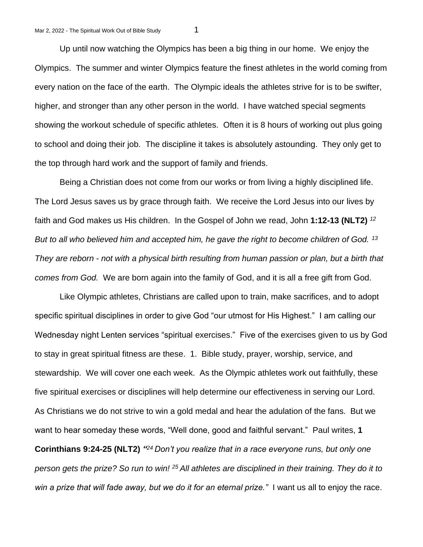Up until now watching the Olympics has been a big thing in our home. We enjoy the Olympics. The summer and winter Olympics feature the finest athletes in the world coming from every nation on the face of the earth. The Olympic ideals the athletes strive for is to be swifter, higher, and stronger than any other person in the world. I have watched special segments showing the workout schedule of specific athletes. Often it is 8 hours of working out plus going to school and doing their job. The discipline it takes is absolutely astounding. They only get to the top through hard work and the support of family and friends.

Being a Christian does not come from our works or from living a highly disciplined life. The Lord Jesus saves us by grace through faith. We receive the Lord Jesus into our lives by faith and God makes us His children. In the Gospel of John we read, John **1:12-13 (NLT2)** *<sup>12</sup> But to all who believed him and accepted him, he gave the right to become children of God. <sup>13</sup> They are reborn - not with a physical birth resulting from human passion or plan, but a birth that comes from God.* We are born again into the family of God, and it is all a free gift from God.

Like Olympic athletes, Christians are called upon to train, make sacrifices, and to adopt specific spiritual disciplines in order to give God "our utmost for His Highest." I am calling our Wednesday night Lenten services "spiritual exercises." Five of the exercises given to us by God to stay in great spiritual fitness are these. 1. Bible study, prayer, worship, service, and stewardship. We will cover one each week. As the Olympic athletes work out faithfully, these five spiritual exercises or disciplines will help determine our effectiveness in serving our Lord. As Christians we do not strive to win a gold medal and hear the adulation of the fans. But we want to hear someday these words, "Well done, good and faithful servant." Paul writes, **1** 

**Corinthians 9:24-25 (NLT2)** *" <sup>24</sup>Don't you realize that in a race everyone runs, but only one person gets the prize? So run to win! <sup>25</sup>All athletes are disciplined in their training. They do it to win a prize that will fade away, but we do it for an eternal prize."* I want us all to enjoy the race.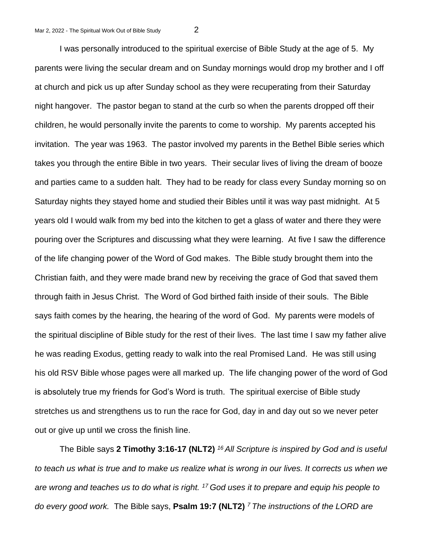I was personally introduced to the spiritual exercise of Bible Study at the age of 5. My parents were living the secular dream and on Sunday mornings would drop my brother and I off at church and pick us up after Sunday school as they were recuperating from their Saturday night hangover. The pastor began to stand at the curb so when the parents dropped off their children, he would personally invite the parents to come to worship. My parents accepted his invitation. The year was 1963. The pastor involved my parents in the Bethel Bible series which takes you through the entire Bible in two years. Their secular lives of living the dream of booze and parties came to a sudden halt. They had to be ready for class every Sunday morning so on Saturday nights they stayed home and studied their Bibles until it was way past midnight. At 5 years old I would walk from my bed into the kitchen to get a glass of water and there they were pouring over the Scriptures and discussing what they were learning. At five I saw the difference of the life changing power of the Word of God makes. The Bible study brought them into the Christian faith, and they were made brand new by receiving the grace of God that saved them through faith in Jesus Christ. The Word of God birthed faith inside of their souls. The Bible says faith comes by the hearing, the hearing of the word of God. My parents were models of the spiritual discipline of Bible study for the rest of their lives. The last time I saw my father alive he was reading Exodus, getting ready to walk into the real Promised Land. He was still using his old RSV Bible whose pages were all marked up. The life changing power of the word of God is absolutely true my friends for God's Word is truth. The spiritual exercise of Bible study stretches us and strengthens us to run the race for God, day in and day out so we never peter out or give up until we cross the finish line.

The Bible says **2 Timothy 3:16-17 (NLT2)** *<sup>16</sup>All Scripture is inspired by God and is useful to teach us what is true and to make us realize what is wrong in our lives. It corrects us when we are wrong and teaches us to do what is right. <sup>17</sup>God uses it to prepare and equip his people to do every good work.* The Bible says, **Psalm 19:7 (NLT2)** *7 The instructions of the LORD are*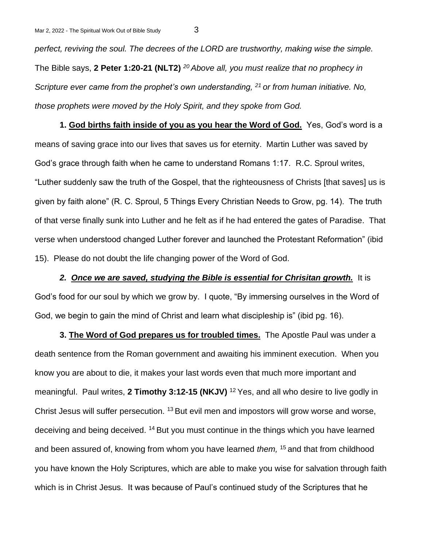*perfect, reviving the soul. The decrees of the LORD are trustworthy, making wise the simple.* The Bible says, **2 Peter 1:20-21 (NLT2)** *<sup>20</sup>Above all, you must realize that no prophecy in Scripture ever came from the prophet's own understanding, <sup>21</sup>or from human initiative. No, those prophets were moved by the Holy Spirit, and they spoke from God.*

**1. God births faith inside of you as you hear the Word of God.** Yes, God's word is a means of saving grace into our lives that saves us for eternity. Martin Luther was saved by God's grace through faith when he came to understand Romans 1:17. R.C. Sproul writes, "Luther suddenly saw the truth of the Gospel, that the righteousness of Christs [that saves] us is given by faith alone" (R. C. Sproul, 5 Things Every Christian Needs to Grow, pg. 14). The truth of that verse finally sunk into Luther and he felt as if he had entered the gates of Paradise. That verse when understood changed Luther forever and launched the Protestant Reformation" (ibid 15). Please do not doubt the life changing power of the Word of God.

*2. Once we are saved, studying the Bible is essential for Chrisitan growth.* It is God's food for our soul by which we grow by. I quote, "By immersing ourselves in the Word of God, we begin to gain the mind of Christ and learn what discipleship is" (ibid pg. 16).

**3. The Word of God prepares us for troubled times.** The Apostle Paul was under a death sentence from the Roman government and awaiting his imminent execution. When you know you are about to die, it makes your last words even that much more important and meaningful. Paul writes, **2 Timothy 3:12-15 (NKJV)** <sup>12</sup>Yes, and all who desire to live godly in Christ Jesus will suffer persecution. <sup>13</sup> But evil men and impostors will grow worse and worse, deceiving and being deceived. <sup>14</sup> But you must continue in the things which you have learned and been assured of, knowing from whom you have learned *them*, <sup>15</sup> and that from childhood you have known the Holy Scriptures, which are able to make you wise for salvation through faith which is in Christ Jesus. It was because of Paul's continued study of the Scriptures that he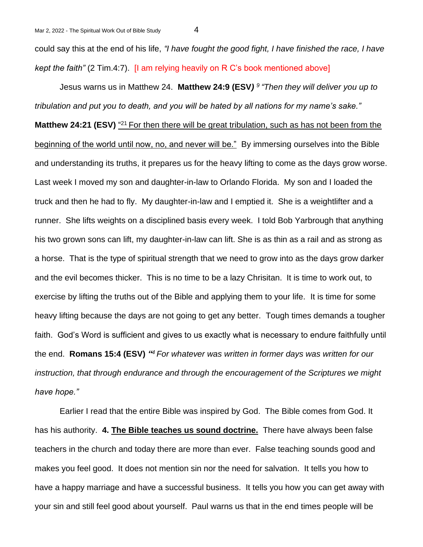could say this at the end of his life, *"I have fought the good fight, I have finished the race, I have kept the faith"* (2 Tim.4:7). [I am relying heavily on R C's book mentioned above]

Jesus warns us in Matthew 24. **Matthew 24:9 (ESV***) <sup>9</sup> "Then they will deliver you up to tribulation and put you to death, and you will be hated by all nations for my name's sake."* Matthew 24:21 (ESV) "<sup>21</sup> For then there will be great tribulation, such as has not been from the beginning of the world until now, no, and never will be." By immersing ourselves into the Bible and understanding its truths, it prepares us for the heavy lifting to come as the days grow worse. Last week I moved my son and daughter-in-law to Orlando Florida. My son and I loaded the truck and then he had to fly. My daughter-in-law and I emptied it. She is a weightlifter and a runner. She lifts weights on a disciplined basis every week. I told Bob Yarbrough that anything his two grown sons can lift, my daughter-in-law can lift. She is as thin as a rail and as strong as a horse. That is the type of spiritual strength that we need to grow into as the days grow darker and the evil becomes thicker. This is no time to be a lazy Chrisitan. It is time to work out, to exercise by lifting the truths out of the Bible and applying them to your life. It is time for some heavy lifting because the days are not going to get any better. Tough times demands a tougher faith. God's Word is sufficient and gives to us exactly what is necessary to endure faithfully until the end. **Romans 15:4 (ESV)** *" <sup>4</sup>For whatever was written in former days was written for our instruction, that through endurance and through the encouragement of the Scriptures we might have hope."* 

Earlier I read that the entire Bible was inspired by God. The Bible comes from God. It has his authority. **4. The Bible teaches us sound doctrine.** There have always been false teachers in the church and today there are more than ever. False teaching sounds good and makes you feel good. It does not mention sin nor the need for salvation. It tells you how to have a happy marriage and have a successful business. It tells you how you can get away with your sin and still feel good about yourself. Paul warns us that in the end times people will be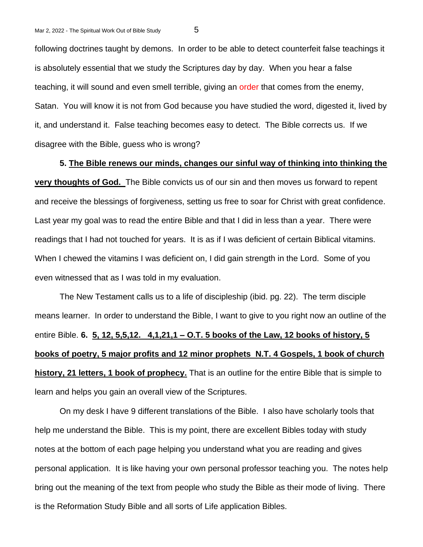following doctrines taught by demons. In order to be able to detect counterfeit false teachings it is absolutely essential that we study the Scriptures day by day. When you hear a false teaching, it will sound and even smell terrible, giving an order that comes from the enemy, Satan. You will know it is not from God because you have studied the word, digested it, lived by it, and understand it. False teaching becomes easy to detect. The Bible corrects us. If we disagree with the Bible, guess who is wrong?

## **5. The Bible renews our minds, changes our sinful way of thinking into thinking the**

**very thoughts of God.** The Bible convicts us of our sin and then moves us forward to repent and receive the blessings of forgiveness, setting us free to soar for Christ with great confidence. Last year my goal was to read the entire Bible and that I did in less than a year. There were readings that I had not touched for years. It is as if I was deficient of certain Biblical vitamins. When I chewed the vitamins I was deficient on, I did gain strength in the Lord. Some of you even witnessed that as I was told in my evaluation.

The New Testament calls us to a life of discipleship (ibid. pg. 22). The term disciple means learner. In order to understand the Bible, I want to give to you right now an outline of the entire Bible. **6. 5, 12, 5,5,12. 4,1,21,1 – O.T. 5 books of the Law, 12 books of history, 5 books of poetry, 5 major profits and 12 minor prophets N.T. 4 Gospels, 1 book of church history, 21 letters, 1 book of prophecy.** That is an outline for the entire Bible that is simple to learn and helps you gain an overall view of the Scriptures.

On my desk I have 9 different translations of the Bible. I also have scholarly tools that help me understand the Bible. This is my point, there are excellent Bibles today with study notes at the bottom of each page helping you understand what you are reading and gives personal application. It is like having your own personal professor teaching you. The notes help bring out the meaning of the text from people who study the Bible as their mode of living. There is the Reformation Study Bible and all sorts of Life application Bibles.